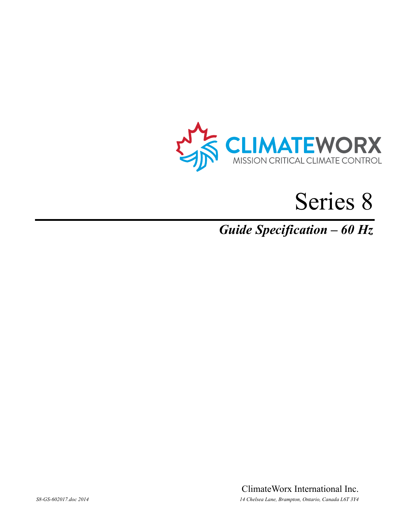

# Series 8

# *Guide Specification – 60 Hz*

ClimateWorx International Inc. *S8-GS-602017.doc 2014 14 Chelsea Lane, Brampton, Ontario, Canada L6T 3Y4*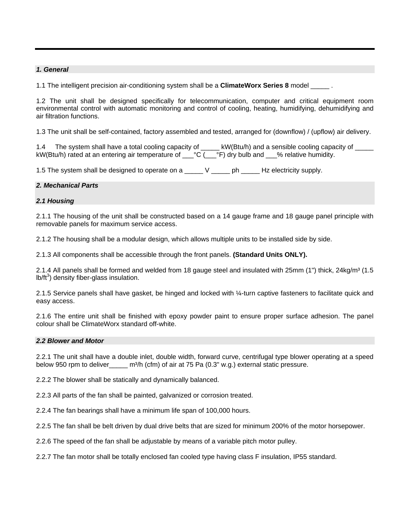#### *1. General*

1.1 The intelligent precision air-conditioning system shall be a **ClimateWorx Series 8** model

1.2 The unit shall be designed specifically for telecommunication, computer and critical equipment room environmental control with automatic monitoring and control of cooling, heating, humidifying, dehumidifying and air filtration functions.

1.3 The unit shall be self-contained, factory assembled and tested, arranged for (downflow) / (upflow) air delivery.

1.4 The system shall have a total cooling capacity of \_\_\_\_\_ kW(Btu/h) and a sensible cooling capacity of \_\_\_\_ kW(Btu/h) rated at an entering air temperature of \_\_\_°C (\_\_\_°F) dry bulb and \_\_\_% relative humidity.

1.5 The system shall be designed to operate on a \_\_\_\_\_ V \_\_\_\_\_\_ ph \_\_\_\_\_\_ Hz electricity supply.

#### *2. Mechanical Parts*

#### *2.1 Housing*

2.1.1 The housing of the unit shall be constructed based on a 14 gauge frame and 18 gauge panel principle with removable panels for maximum service access.

2.1.2 The housing shall be a modular design, which allows multiple units to be installed side by side.

2.1.3 All components shall be accessible through the front panels. **(Standard Units ONLY).**

2.1.4 All panels shall be formed and welded from 18 gauge steel and insulated with 25mm (1") thick, 24kg/m<sup>3</sup> (1.5  $lb/ft^3)$  density fiber-glass insulation.

2.1.5 Service panels shall have gasket, be hinged and locked with ¼-turn captive fasteners to facilitate quick and easy access.

2.1.6 The entire unit shall be finished with epoxy powder paint to ensure proper surface adhesion. The panel colour shall be ClimateWorx standard off-white.

#### *2.2 Blower and Motor*

2.2.1 The unit shall have a double inlet, double width, forward curve, centrifugal type blower operating at a speed below 950 rpm to deliver\_\_\_\_\_\_ m<sup>3</sup>/h (cfm) of air at 75 Pa (0.3" w.g.) external static pressure.

2.2.2 The blower shall be statically and dynamically balanced.

2.2.3 All parts of the fan shall be painted, galvanized or corrosion treated.

2.2.4 The fan bearings shall have a minimum life span of 100,000 hours.

2.2.5 The fan shall be belt driven by dual drive belts that are sized for minimum 200% of the motor horsepower.

2.2.6 The speed of the fan shall be adjustable by means of a variable pitch motor pulley.

2.2.7 The fan motor shall be totally enclosed fan cooled type having class F insulation, IP55 standard.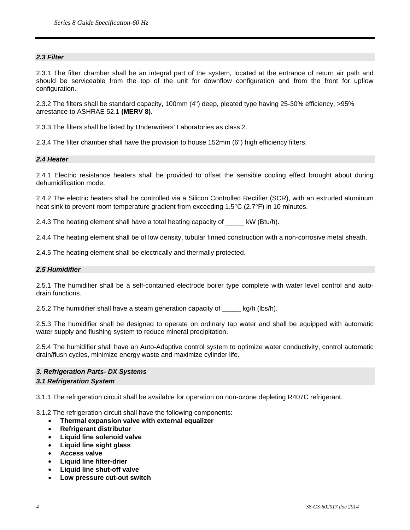# *2.3 Filter*

2.3.1 The filter chamber shall be an integral part of the system, located at the entrance of return air path and should be serviceable from the top of the unit for downflow configuration and from the front for upflow configuration.

2.3.2 The filters shall be standard capacity, 100mm (4") deep, pleated type having 25-30% efficiency, >95% arrestance to ASHRAE 52.1 **(MERV 8)**.

2.3.3 The filters shall be listed by Underwriters' Laboratories as class 2.

2.3.4 The filter chamber shall have the provision to house 152mm (6") high efficiency filters.

#### *2.4 Heater*

2.4.1 Electric resistance heaters shall be provided to offset the sensible cooling effect brought about during dehumidification mode.

2.4.2 The electric heaters shall be controlled via a Silicon Controlled Rectifier (SCR), with an extruded aluminum heat sink to prevent room temperature gradient from exceeding 1.5°C (2.7°F) in 10 minutes.

2.4.3 The heating element shall have a total heating capacity of \_\_\_\_\_ kW (Btu/h).

2.4.4 The heating element shall be of low density, tubular finned construction with a non-corrosive metal sheath.

2.4.5 The heating element shall be electrically and thermally protected.

#### *2.5 Humidifier*

2.5.1 The humidifier shall be a self-contained electrode boiler type complete with water level control and autodrain functions.

2.5.2 The humidifier shall have a steam generation capacity of \_\_\_\_\_ kg/h (lbs/h).

2.5.3 The humidifier shall be designed to operate on ordinary tap water and shall be equipped with automatic water supply and flushing system to reduce mineral precipitation.

2.5.4 The humidifier shall have an Auto-Adaptive control system to optimize water conductivity, control automatic drain/flush cycles, minimize energy waste and maximize cylinder life.

# *3. Refrigeration Parts- DX Systems*

# *3.1 Refrigeration System*

3.1.1 The refrigeration circuit shall be available for operation on non-ozone depleting R407C refrigerant.

3.1.2 The refrigeration circuit shall have the following components:

- **Thermal expansion valve with external equalizer**
- **Refrigerant distributor**
- **Liquid line solenoid valve**
- **Liquid line sight glass**
- **Access valve**
- **Liquid line filter-drier**
- **Liquid line shut-off valve**
- **Low pressure cut-out switch**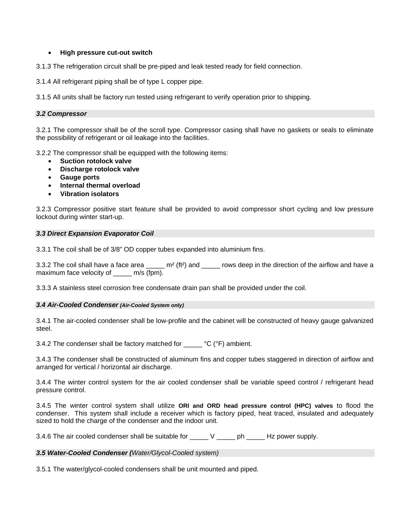# • **High pressure cut-out switch**

3.1.3 The refrigeration circuit shall be pre-piped and leak tested ready for field connection.

3.1.4 All refrigerant piping shall be of type L copper pipe.

3.1.5 All units shall be factory run tested using refrigerant to verify operation prior to shipping.

# *3.2 Compressor*

3.2.1 The compressor shall be of the scroll type. Compressor casing shall have no gaskets or seals to eliminate the possibility of refrigerant or oil leakage into the facilities.

3.2.2 The compressor shall be equipped with the following items:

- **Suction rotolock valve**
- **Discharge rotolock valve**
- **Gauge ports**
- **Internal thermal overload**
- **Vibration isolators**

3.2.3 Compressor positive start feature shall be provided to avoid compressor short cycling and low pressure lockout during winter start-up.

# *3.3 Direct Expansion Evaporator Coil*

3.3.1 The coil shall be of 3/8" OD copper tubes expanded into aluminium fins.

3.3.2 The coil shall have a face area \_\_\_\_\_ m<sup>2</sup> (ft<sup>2</sup>) and \_\_\_\_\_ rows deep in the direction of the airflow and have a maximum face velocity of m/s (fpm).

3.3.3 A stainless steel corrosion free condensate drain pan shall be provided under the coil.

# *3.4 Air-Cooled Condenser (Air-Cooled System only)*

3.4.1 The air-cooled condenser shall be low-profile and the cabinet will be constructed of heavy gauge galvanized steel.

3.4.2 The condenser shall be factory matched for \_\_\_\_\_ °C (°F) ambient.

3.4.3 The condenser shall be constructed of aluminum fins and copper tubes staggered in direction of airflow and arranged for vertical / horizontal air discharge.

3.4.4 The winter control system for the air cooled condenser shall be variable speed control / refrigerant head pressure control.

3.4.5 The winter control system shall utilize **ORI and ORD head pressure control (HPC) valves** to flood the condenser. This system shall include a receiver which is factory piped, heat traced, insulated and adequately sized to hold the charge of the condenser and the indoor unit.

3.4.6 The air cooled condenser shall be suitable for \_\_\_\_\_ V \_\_\_\_\_ ph \_\_\_\_\_ Hz power supply.

# *3.5 Water-Cooled Condenser (Water/Glycol-Cooled system)*

3.5.1 The water/glycol-cooled condensers shall be unit mounted and piped.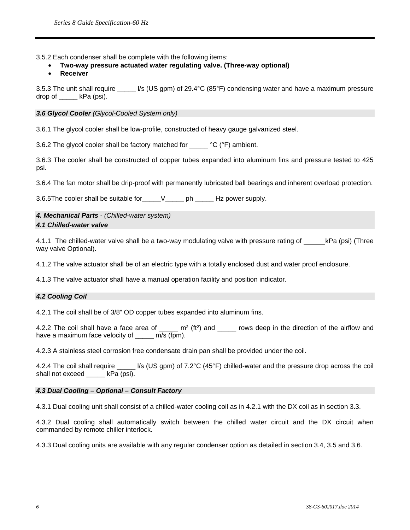3.5.2 Each condenser shall be complete with the following items:

- **Two-way pressure actuated water regulating valve. (Three-way optional)**
- **Receiver**

3.5.3 The unit shall require \_\_\_\_\_ l/s (US gpm) of 29.4°C (85°F) condensing water and have a maximum pressure drop of kPa (psi).

*3.6 Glycol Cooler (Glycol-Cooled System only)* 

3.6.1 The glycol cooler shall be low-profile, constructed of heavy gauge galvanized steel.

3.6.2 The glycol cooler shall be factory matched for \_\_\_\_\_ °C (°F) ambient.

3.6.3 The cooler shall be constructed of copper tubes expanded into aluminum fins and pressure tested to 425 psi.

3.6.4 The fan motor shall be drip-proof with permanently lubricated ball bearings and inherent overload protection.

3.6.5The cooler shall be suitable for\_\_\_\_\_V\_\_\_\_\_ ph \_\_\_\_\_ Hz power supply.

# *4. Mechanical Parts - (Chilled-water system) 4.1 Chilled-water valve*

4.1.1 The chilled-water valve shall be a two-way modulating valve with pressure rating of kPa (psi) (Three way valve Optional).

4.1.2 The valve actuator shall be of an electric type with a totally enclosed dust and water proof enclosure.

4.1.3 The valve actuator shall have a manual operation facility and position indicator.

# *4.2 Cooling Coil*

4.2.1 The coil shall be of 3/8" OD copper tubes expanded into aluminum fins.

4.2.2 The coil shall have a face area of \_\_\_\_\_ m<sup>2</sup> (ft<sup>2</sup>) and \_\_\_\_\_ rows deep in the direction of the airflow and have a maximum face velocity of m/s (fpm).

4.2.3 A stainless steel corrosion free condensate drain pan shall be provided under the coil.

4.2.4 The coil shall require \_\_\_\_\_ l/s (US gpm) of 7.2°C (45°F) chilled-water and the pressure drop across the coil shall not exceed \_\_\_\_\_\_ kPa (psi).

# *4.3 Dual Cooling – Optional – Consult Factory*

4.3.1 Dual cooling unit shall consist of a chilled-water cooling coil as in 4.2.1 with the DX coil as in section 3.3.

4.3.2 Dual cooling shall automatically switch between the chilled water circuit and the DX circuit when commanded by remote chiller interlock.

4.3.3 Dual cooling units are available with any regular condenser option as detailed in section 3.4, 3.5 and 3.6.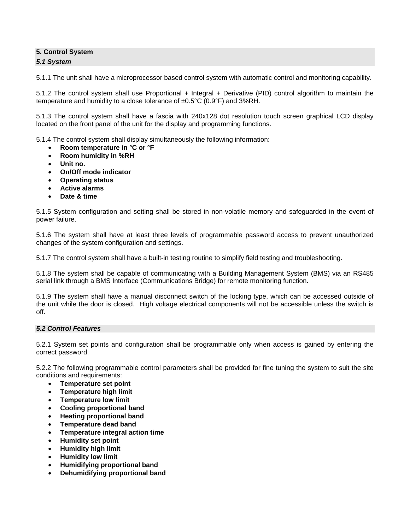# **5. Control System**

# *5.1 System*

5.1.1 The unit shall have a microprocessor based control system with automatic control and monitoring capability.

5.1.2 The control system shall use Proportional + Integral + Derivative (PID) control algorithm to maintain the temperature and humidity to a close tolerance of ±0.5°C (0.9°F) and 3%RH.

5.1.3 The control system shall have a fascia with 240x128 dot resolution touch screen graphical LCD display located on the front panel of the unit for the display and programming functions.

5.1.4 The control system shall display simultaneously the following information:

- **Room temperature in °C or °F**
- **Room humidity in %RH**
- **Unit no.**
- **On/Off mode indicator**
- **Operating status**
- **Active alarms**
- **Date & time**

5.1.5 System configuration and setting shall be stored in non-volatile memory and safeguarded in the event of power failure.

5.1.6 The system shall have at least three levels of programmable password access to prevent unauthorized changes of the system configuration and settings.

5.1.7 The control system shall have a built-in testing routine to simplify field testing and troubleshooting.

5.1.8 The system shall be capable of communicating with a Building Management System (BMS) via an RS485 serial link through a BMS Interface (Communications Bridge) for remote monitoring function.

5.1.9 The system shall have a manual disconnect switch of the locking type, which can be accessed outside of the unit while the door is closed. High voltage electrical components will not be accessible unless the switch is off.

# *5.2 Control Features*

5.2.1 System set points and configuration shall be programmable only when access is gained by entering the correct password.

5.2.2 The following programmable control parameters shall be provided for fine tuning the system to suit the site conditions and requirements:

- **Temperature set point**
- **Temperature high limit**
- **Temperature low limit**
- **Cooling proportional band**
- **Heating proportional band**
- **Temperature dead band**
- **Temperature integral action time**
- **Humidity set point**
- **Humidity high limit**
- **Humidity low limit**
- **Humidifying proportional band**
- **Dehumidifying proportional band**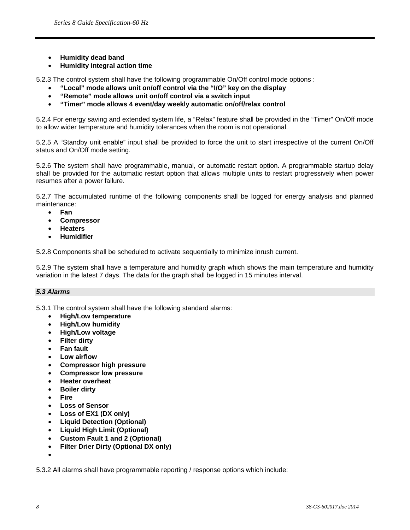- **Humidity dead band**
- **Humidity integral action time**

5.2.3 The control system shall have the following programmable On/Off control mode options :

- **"Local" mode allows unit on/off control via the "I/O" key on the display**
- **"Remote" mode allows unit on/off control via a switch input**
- **"Timer" mode allows 4 event/day weekly automatic on/off/relax control**

5.2.4 For energy saving and extended system life, a "Relax" feature shall be provided in the "Timer" On/Off mode to allow wider temperature and humidity tolerances when the room is not operational.

5.2.5 A "Standby unit enable" input shall be provided to force the unit to start irrespective of the current On/Off status and On/Off mode setting.

5.2.6 The system shall have programmable, manual, or automatic restart option. A programmable startup delay shall be provided for the automatic restart option that allows multiple units to restart progressively when power resumes after a power failure.

5.2.7 The accumulated runtime of the following components shall be logged for energy analysis and planned maintenance:

- **Fan**
- **Compressor**
- **Heaters**
- **Humidifier**

5.2.8 Components shall be scheduled to activate sequentially to minimize inrush current.

5.2.9 The system shall have a temperature and humidity graph which shows the main temperature and humidity variation in the latest 7 days. The data for the graph shall be logged in 15 minutes interval.

# *5.3 Alarms*

5.3.1 The control system shall have the following standard alarms:

- **High/Low temperature**
- **High/Low humidity**
- **High/Low voltage**
- **Filter dirty**
- **Fan fault**
- **Low airflow**
- **Compressor high pressure**
- **Compressor low pressure**
- **Heater overheat**
- **Boiler dirty**
- **Fire**
- **Loss of Sensor**
- **Loss of EX1 (DX only)**
- **Liquid Detection (Optional)**
- **Liquid High Limit (Optional)**
- **Custom Fault 1 and 2 (Optional)**
- **Filter Drier Dirty (Optional DX only)**
- •

5.3.2 All alarms shall have programmable reporting / response options which include: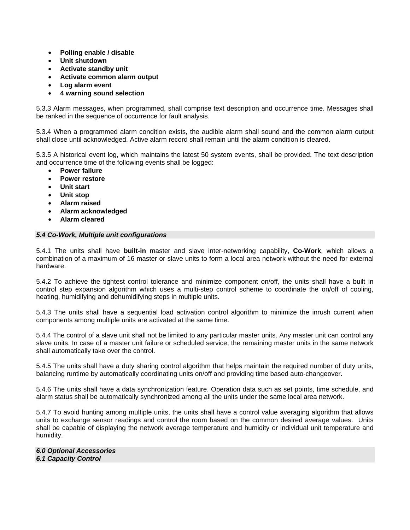- **Polling enable / disable**
- **Unit shutdown**
- **Activate standby unit**
- **Activate common alarm output**
- **Log alarm event**
- **4 warning sound selection**

5.3.3 Alarm messages, when programmed, shall comprise text description and occurrence time. Messages shall be ranked in the sequence of occurrence for fault analysis.

5.3.4 When a programmed alarm condition exists, the audible alarm shall sound and the common alarm output shall close until acknowledged. Active alarm record shall remain until the alarm condition is cleared.

5.3.5 A historical event log, which maintains the latest 50 system events, shall be provided. The text description and occurrence time of the following events shall be logged:

- **Power failure**
- **Power restore**
- **Unit start**
- **Unit stop**
- **Alarm raised**
- **Alarm acknowledged**
- **Alarm cleared**

#### *5.4 Co-Work, Multiple unit configurations*

5.4.1 The units shall have **built-in** master and slave inter-networking capability, **Co-Work**, which allows a combination of a maximum of 16 master or slave units to form a local area network without the need for external hardware.

5.4.2 To achieve the tightest control tolerance and minimize component on/off, the units shall have a built in control step expansion algorithm which uses a multi-step control scheme to coordinate the on/off of cooling, heating, humidifying and dehumidifying steps in multiple units.

5.4.3 The units shall have a sequential load activation control algorithm to minimize the inrush current when components among multiple units are activated at the same time.

5.4.4 The control of a slave unit shall not be limited to any particular master units. Any master unit can control any slave units. In case of a master unit failure or scheduled service, the remaining master units in the same network shall automatically take over the control.

5.4.5 The units shall have a duty sharing control algorithm that helps maintain the required number of duty units, balancing runtime by automatically coordinating units on/off and providing time based auto-changeover.

5.4.6 The units shall have a data synchronization feature. Operation data such as set points, time schedule, and alarm status shall be automatically synchronized among all the units under the same local area network.

5.4.7 To avoid hunting among multiple units, the units shall have a control value averaging algorithm that allows units to exchange sensor readings and control the room based on the common desired average values. Units shall be capable of displaying the network average temperature and humidity or individual unit temperature and humidity.

*6.0 Optional Accessories 6.1 Capacity Control*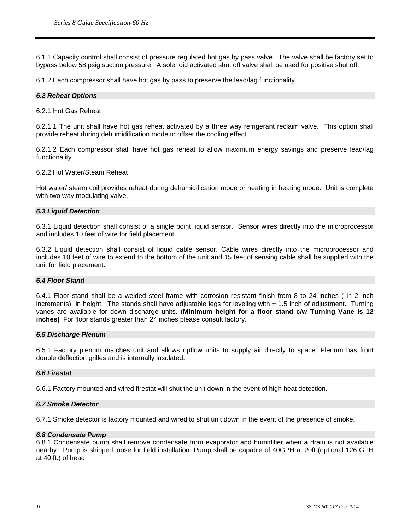6.1.1 Capacity control shall consist of pressure regulated hot gas by pass valve. The valve shall be factory set to bypass below 58 psig suction pressure. A solenoid activated shut off valve shall be used for positive shut off.

6.1.2 Each compressor shall have hot gas by pass to preserve the lead/lag functionality.

#### *6.2 Reheat Options*

6.2.1 Hot Gas Reheat

6.2.1.1 The unit shall have hot gas reheat activated by a three way refrigerant reclaim valve. This option shall provide reheat during dehumidification mode to offset the cooling effect.

6.2.1.2 Each compressor shall have hot gas reheat to allow maximum energy savings and preserve lead/lag functionality.

#### 6.2.2 Hot Water/Steam Reheat

Hot water/ steam coil provides reheat during dehumidification mode or heating in heating mode. Unit is complete with two way modulating valve.

#### *6.3 Liquid Detection*

6.3.1 Liquid detection shall consist of a single point liquid sensor. Sensor wires directly into the microprocessor and includes 10 feet of wire for field placement.

6.3.2 Liquid detection shall consist of liquid cable sensor. Cable wires directly into the microprocessor and includes 10 feet of wire to extend to the bottom of the unit and 15 feet of sensing cable shall be supplied with the unit for field placement.

# *6.4 Floor Stand*

6.4.1 Floor stand shall be a welded steel frame with corrosion resistant finish from 8 to 24 inches ( in 2 inch increments) in height. The stands shall have adjustable legs for leveling with  $\pm$  1.5 inch of adjustment. Turning vanes are available for down discharge units. (**Minimum height for a floor stand c/w Turning Vane is 12 inches)** For floor stands greater than 24 inches please consult factory.

#### *6.5 Discharge Plenum*

6.5.1 Factory plenum matches unit and allows upflow units to supply air directly to space. Plenum has front double deflection grilles and is internally insulated.

#### *6.6 Firestat*

6.6.1 Factory mounted and wired firestat will shut the unit down in the event of high heat detection.

#### *6.7 Smoke Detector*

6.7.1 Smoke detector is factory mounted and wired to shut unit down in the event of the presence of smoke.

#### *6.8 Condensate Pump*

6.8.1 Condensate pump shall remove condensate from evaporator and humidifier when a drain is not available nearby. Pump is shipped loose for field installation. Pump shall be capable of 40GPH at 20ft (optional 126 GPH at 40 ft.) of head.